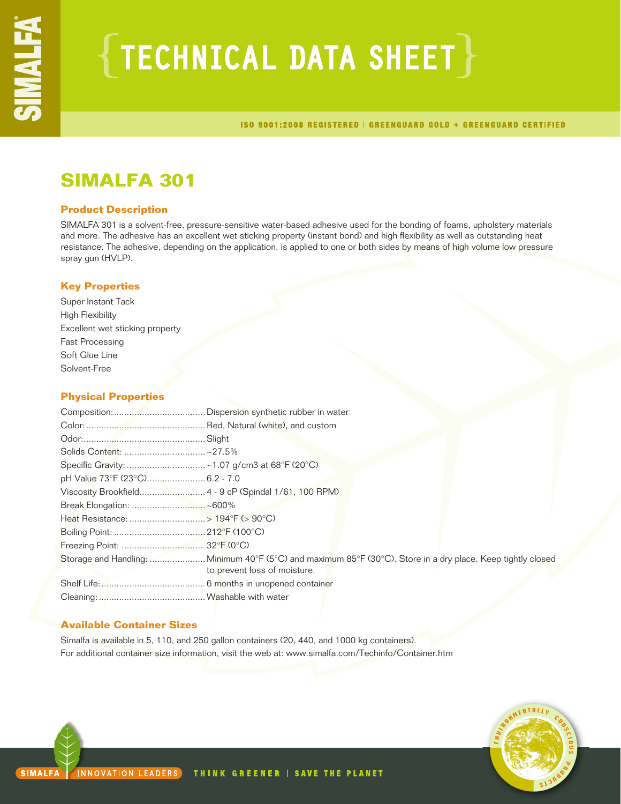# $\{$  TECHNICAL DATA SHEET  $\}$

ISO 9001:2008 REGISTERED | GREENGUARD GOLD + GREENGUARD CERTIFIED

## **SIMALFA 301**

## **Product Description**

SIMALFA 301 is a solvent-free, pressure-sensitive water-based adhesive used for the bonding of foams, upholstery materials and more. The adhesive has an excellent wet sticking property (instant bond) and high flexibility as well as outstanding heat resistance. The adhesive, depending on the application, is applied to one or both sides by means of high volume low pressure spray gun (HVLP).

## **Key Properties**

Super Instant Tack High Flexibility Excellent wet sticking property Fast Processing Soft Glue Line Solvent-Free

## **Physical Properties**

| pH Value 73°F (23°C) 6.2 - 7.0 |                                                                                                              |
|--------------------------------|--------------------------------------------------------------------------------------------------------------|
|                                |                                                                                                              |
|                                |                                                                                                              |
|                                |                                                                                                              |
|                                |                                                                                                              |
|                                |                                                                                                              |
|                                | Storage and Handling:  Minimum 40°F (5°C) and maximum 85°F (30°C). Store in a dry place. Keep tightly closed |
|                                | to prevent loss of moisture.                                                                                 |
|                                |                                                                                                              |
|                                |                                                                                                              |

## **Available Container Sizes**

Simalfa is available in 5, 110, and 250 gallon containers (20, 440, and 1000 kg containers). For additional container size information, visit the web at: www.simalfa.com/Techinfo/Container.htm

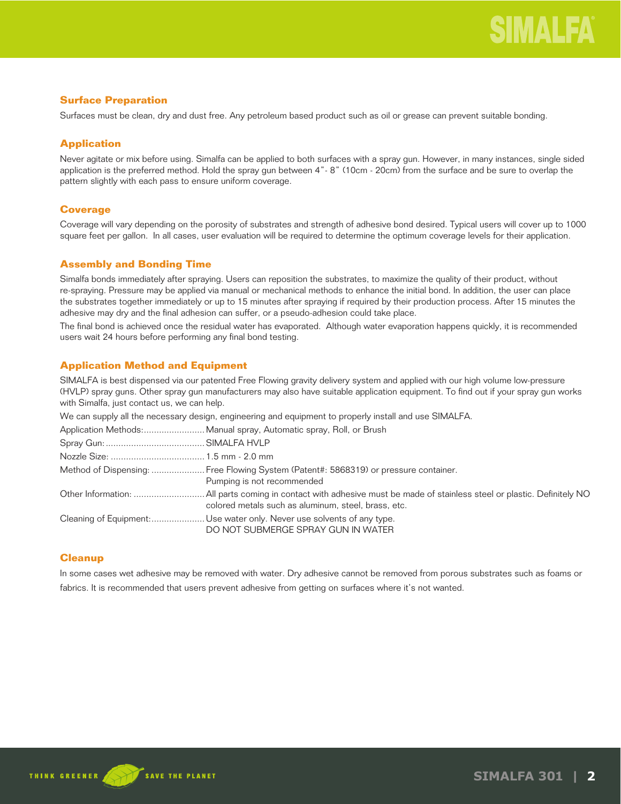## **Surface Preparation**

Surfaces must be clean, dry and dust free. Any petroleum based product such as oil or grease can prevent suitable bonding.

## **Application**

Never agitate or mix before using. Simalfa can be applied to both surfaces with a spray gun. However, in many instances, single sided application is the preferred method. Hold the spray gun between 4"- 8" (10cm - 20cm) from the surface and be sure to overlap the pattern slightly with each pass to ensure uniform coverage.

## **Coverage**

Coverage will vary depending on the porosity of substrates and strength of adhesive bond desired. Typical users will cover up to 1000 square feet per gallon. In all cases, user evaluation will be required to determine the optimum coverage levels for their application.

## **Assembly and Bonding Time**

Simalfa bonds immediately after spraying. Users can reposition the substrates, to maximize the quality of their product, without re-spraying. Pressure may be applied via manual or mechanical methods to enhance the initial bond. In addition, the user can place the substrates together immediately or up to 15 minutes after spraying if required by their production process. After 15 minutes the adhesive may dry and the final adhesion can suffer, or a pseudo-adhesion could take place.

The final bond is achieved once the residual water has evaporated. Although water evaporation happens quickly, it is recommended users wait 24 hours before performing any final bond testing.

## **Application Method and Equipment**

SIMALFA is best dispensed via our patented Free Flowing gravity delivery system and applied with our high volume low-pressure (HVLP) spray guns. Other spray gun manufacturers may also have suitable application equipment. To find out if your spray gun works with Simalfa, just contact us, we can help.

| We can supply all the necessary design, engineering and equipment to properly install and use SIMALFA.             |
|--------------------------------------------------------------------------------------------------------------------|
|                                                                                                                    |
|                                                                                                                    |
|                                                                                                                    |
| Method of Dispensing:  Free Flowing System (Patent#: 5868319) or pressure container.<br>Pumping is not recommended |
| colored metals such as aluminum, steel, brass, etc.                                                                |
| Cleaning of Equipment: Use water only. Never use solvents of any type.<br>DO NOT SUBMERGE SPRAY GUN IN WATER       |

## **Cleanup**

In some cases wet adhesive may be removed with water. Dry adhesive cannot be removed from porous substrates such as foams or fabrics. It is recommended that users prevent adhesive from getting on surfaces where it's not wanted.

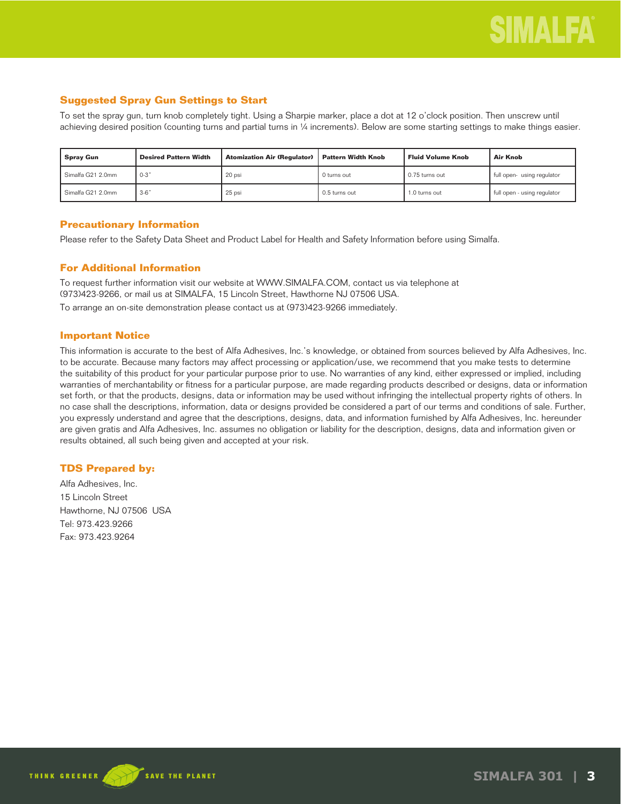## **Suggested Spray Gun Settings to Start**

To set the spray gun, turn knob completely tight. Using a Sharpie marker, place a dot at 12 o'clock position. Then unscrew until achieving desired position (counting turns and partial turns in ¼ increments). Below are some starting settings to make things easier.

| <b>Spray Gun</b>  | <b>Desired Pattern Width</b> | <b>Atomization Air (Regulator)</b> | Pattern Width Knob | <b>Fluid Volume Knob</b> | Air Knob                    |
|-------------------|------------------------------|------------------------------------|--------------------|--------------------------|-----------------------------|
| Simalfa G21 2.0mm | . 0-3"                       | 20 psi                             | 0 turns out        | 0.75 turns out           | full open-using regulator   |
| Simalfa G21 2.0mm | $3-6"$                       | 25 psi                             | 0.5 turns out      | 1.0 turns out            | full open - using regulator |

## **Precautionary Information**

Please refer to the Safety Data Sheet and Product Label for Health and Safety Information before using Simalfa.

## **For Additional Information**

To request further information visit our website at WWW.SIMALFA.COM, contact us via telephone at (973)423-9266, or mail us at SIMALFA, 15 Lincoln Street, Hawthorne NJ 07506 USA. To arrange an on-site demonstration please contact us at (973)423-9266 immediately.

## **Important Notice**

This information is accurate to the best of Alfa Adhesives, Inc.'s knowledge, or obtained from sources believed by Alfa Adhesives, Inc. to be accurate. Because many factors may affect processing or application/use, we recommend that you make tests to determine the suitability of this product for your particular purpose prior to use. No warranties of any kind, either expressed or implied, including warranties of merchantability or fitness for a particular purpose, are made regarding products described or designs, data or information set forth, or that the products, designs, data or information may be used without infringing the intellectual property rights of others. In no case shall the descriptions, information, data or designs provided be considered a part of our terms and conditions of sale. Further, you expressly understand and agree that the descriptions, designs, data, and information furnished by Alfa Adhesives, Inc. hereunder are given gratis and Alfa Adhesives, Inc. assumes no obligation or liability for the description, designs, data and information given or results obtained, all such being given and accepted at your risk.

## **TDS Prepared by:**

Alfa Adhesives, Inc. 15 Lincoln Street Hawthorne, NJ 07506 USA Tel: 973.423.9266 Fax: 973.423.9264

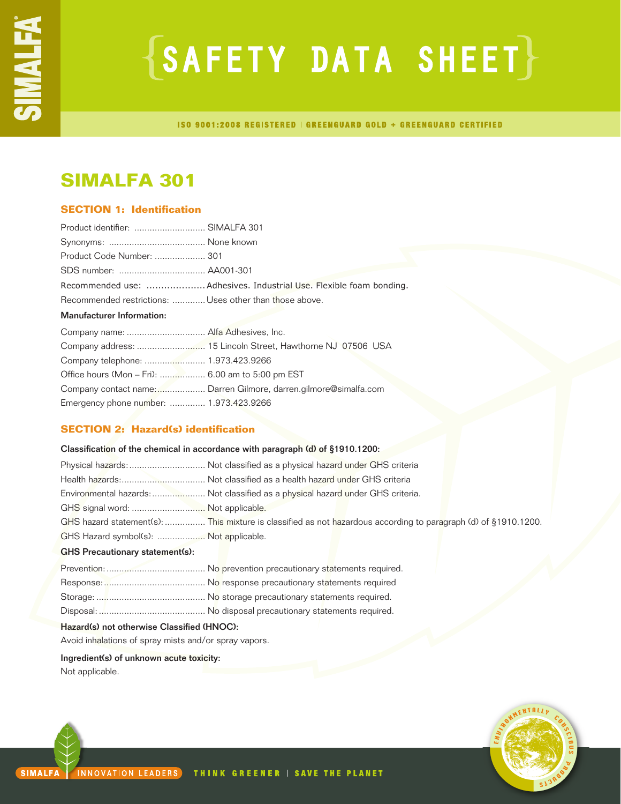# $\{SAFFITY$  DATA SHEET $\}$

**ISO 9001:2008 REGISTERED | GREENGUARD GOLD + GREENGUARD CERTIFIED** 

## **SIMALFA 301**

## **SECTION 1: Identification**

| Product identifier:  SIMALFA 301                        |                                                                     |
|---------------------------------------------------------|---------------------------------------------------------------------|
|                                                         |                                                                     |
| Product Code Number:  301                               |                                                                     |
|                                                         |                                                                     |
|                                                         | Recommended use:  Adhesives. Industrial Use. Flexible foam bonding. |
| Recommended restrictions:  Uses other than those above. |                                                                     |
| <b>Manufacturer Information:</b>                        |                                                                     |
| Company name:  Alfa Adhesives, Inc.                     |                                                                     |
|                                                         |                                                                     |
|                                                         |                                                                     |
|                                                         |                                                                     |
|                                                         | Company contact name: Darren Gilmore, darren.gilmore@simalfa.com    |
| Emergency phone number:  1.973.423.9266                 |                                                                     |

## **SECTION 2: Hazard(s) identification**

## Classification of the chemical in accordance with paragraph (d) of §1910.1200: Physical hazards:.............................. Not classified as a physical hazard under GHS criteria Health hazards:................................. Not classified as a health hazard under GHS criteria Environmental hazards:..................... Not classified as a physical hazard under GHS criteria. GHS signal word: ................................ Not applicable. GHS hazard statement(s): ................. This mixture is classified as not hazardous according to paragraph (d) of §1910.1200. GHS Hazard symbol(s): ................... Not applicable.

## GHS Precautionary statement(s):

## Hazard(s) not otherwise Classified (HNOC):

Avoid inhalations of spray mists and/or spray vapors.

## Ingredient(s) of unknown acute toxicity:

Not applicable.

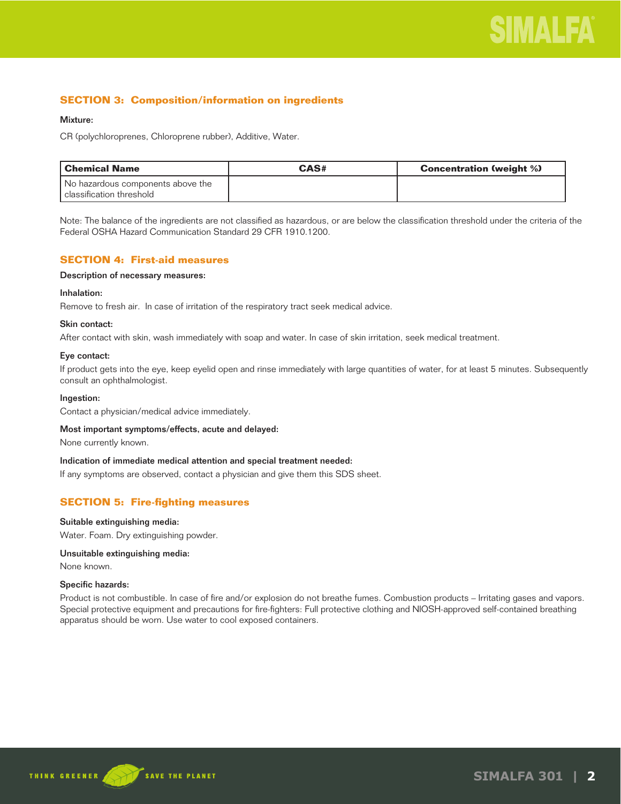## **SECTION 3: Composition/information on ingredients**

## Mixture:

CR (polychloroprenes, Chloroprene rubber), Additive, Water.

| l Chemical Name                   | CAS# | <b>Concentration (weight %)</b> |
|-----------------------------------|------|---------------------------------|
| No hazardous components above the |      |                                 |
| l classification threshold        |      |                                 |

Note: The balance of the ingredients are not classified as hazardous, or are below the classification threshold under the criteria of the Federal OSHA Hazard Communication Standard 29 CFR 1910.1200.

## **SECTION 4: First-aid measures**

## Description of necessary measures:

## Inhalation:

Remove to fresh air. In case of irritation of the respiratory tract seek medical advice.

### Skin contact:

After contact with skin, wash immediately with soap and water. In case of skin irritation, seek medical treatment.

### Eye contact:

If product gets into the eye, keep eyelid open and rinse immediately with large quantities of water, for at least 5 minutes. Subsequently consult an ophthalmologist.

#### Ingestion:

Contact a physician/medical advice immediately.

#### Most important symptoms/effects, acute and delayed:

None currently known.

#### Indication of immediate medical attention and special treatment needed:

If any symptoms are observed, contact a physician and give them this SDS sheet.

## **SECTION 5: Fire-fighting measures**

#### Suitable extinguishing media:

Water. Foam. Dry extinguishing powder.

## Unsuitable extinguishing media:

None known.

#### Specific hazards:

Product is not combustible. In case of fire and/or explosion do not breathe fumes. Combustion products – Irritating gases and vapors. Special protective equipment and precautions for fire-fighters: Full protective clothing and NIOSH-approved self-contained breathing apparatus should be worn. Use water to cool exposed containers.

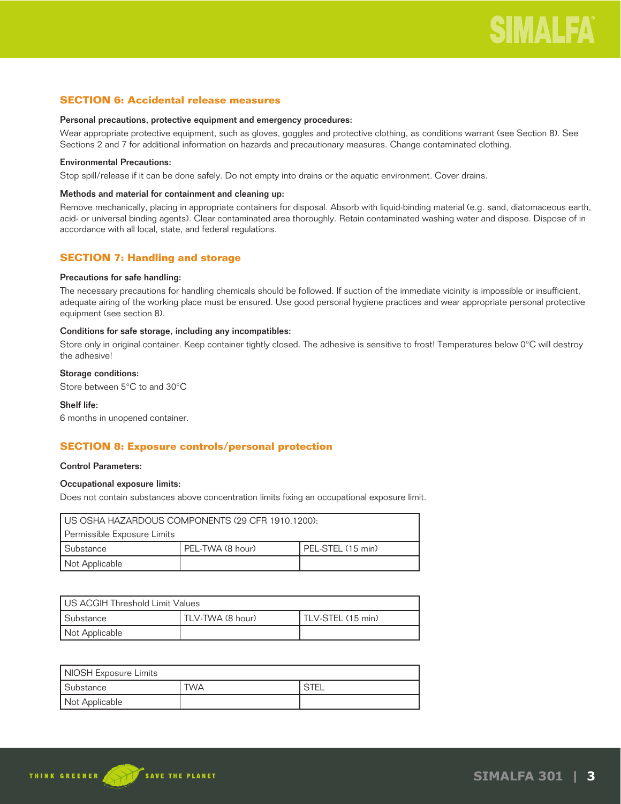## **SECTION 6: Accidental release measures**

#### Personal precautions, protective equipment and emergency procedures:

Wear appropriate protective equipment, such as gloves, goggles and protective clothing, as conditions warrant (see Section 8). See Sections 2 and 7 for additional information on hazards and precautionary measures. Change contaminated clothing.

## Environmental Precautions:

Stop spill/release if it can be done safely. Do not empty into drains or the aquatic environment. Cover drains.

### Methods and material for containment and cleaning up:

Remove mechanically, placing in appropriate containers for disposal. Absorb with liquid-binding material (e.g. sand, diatomaceous earth, acid- or universal binding agents). Clear contaminated area thoroughly. Retain contaminated washing water and dispose. Dispose of in accordance with all local, state, and federal regulations.

## **SECTION 7: Handling and storage**

#### Precautions for safe handling:

The necessary precautions for handling chemicals should be followed. If suction of the immediate vicinity is impossible or insufficient, adequate airing of the working place must be ensured. Use good personal hygiene practices and wear appropriate personal protective equipment (see section 8).

#### Conditions for safe storage, including any incompatibles:

Store only in original container. Keep container tightly closed. The adhesive is sensitive to frost! Temperatures below 0°C will destroy the adhesive!

## Storage conditions:

Store between 5°C to and 30°C

### Shelf life:

6 months in unopened container.

## **SECTION 8: Exposure controls/personal protection**

#### Control Parameters:

## Occupational exposure limits:

Does not contain substances above concentration limits fixing an occupational exposure limit.

| I US OSHA HAZARDOUS COMPONENTS (29 CFR 1910.1200): |                  |                   |
|----------------------------------------------------|------------------|-------------------|
| Permissible Exposure Limits                        |                  |                   |
| Substance                                          | PEL-TWA (8 hour) | PEL-STEL (15 min) |
| Not Applicable                                     |                  |                   |

| US ACGIH Threshold Limit Values |                  |                   |
|---------------------------------|------------------|-------------------|
| l Substance                     | TLV-TWA (8 hour) | TLV-STEL (15 min) |
| Not Applicable                  |                  |                   |

| NIOSH Exposure Limits |            |             |
|-----------------------|------------|-------------|
| Substance             | <b>TWA</b> | <b>STEL</b> |
| Not Applicable        |            |             |

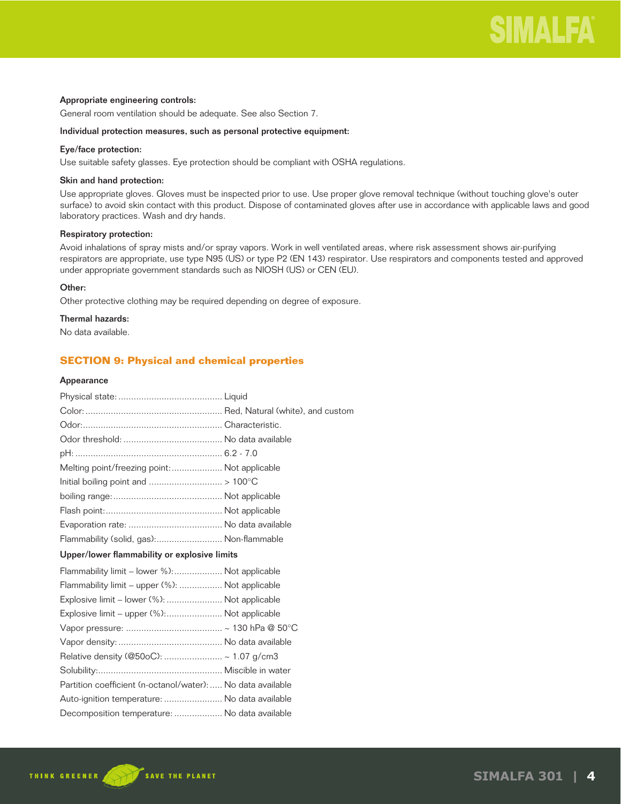### Appropriate engineering controls:

General room ventilation should be adequate. See also Section 7.

#### Individual protection measures, such as personal protective equipment:

## Eye/face protection:

Use suitable safety glasses. Eye protection should be compliant with OSHA regulations.

#### Skin and hand protection:

Use appropriate gloves. Gloves must be inspected prior to use. Use proper glove removal technique (without touching glove's outer surface) to avoid skin contact with this product. Dispose of contaminated gloves after use in accordance with applicable laws and good laboratory practices. Wash and dry hands.

## Respiratory protection:

Avoid inhalations of spray mists and/or spray vapors. Work in well ventilated areas, where risk assessment shows air-purifying respirators are appropriate, use type N95 (US) or type P2 (EN 143) respirator. Use respirators and components tested and approved under appropriate government standards such as NIOSH (US) or CEN (EU).

## Other:

Other protective clothing may be required depending on degree of exposure.

## Thermal hazards:

No data available.

## **SECTION 9: Physical and chemical properties**

#### Appearance

| Melting point/freezing point:  Not applicable               |  |
|-------------------------------------------------------------|--|
|                                                             |  |
|                                                             |  |
|                                                             |  |
|                                                             |  |
| Flammability (solid, gas): Non-flammable                    |  |
| Upper/lower flammability or explosive limits                |  |
| Flammability limit – lower %): Not applicable               |  |
| Flammability limit - upper (%):  Not applicable             |  |
| Explosive limit – lower (%):  Not applicable                |  |
| Explosive limit – upper (%): Not applicable                 |  |
|                                                             |  |
|                                                             |  |
| Relative density (@50oC):  ~ 1.07 g/cm3                     |  |
|                                                             |  |
| Partition coefficient (n-octanol/water):  No data available |  |
| Auto-ignition temperature:  No data available               |  |
| Decomposition temperature:  No data available               |  |
|                                                             |  |

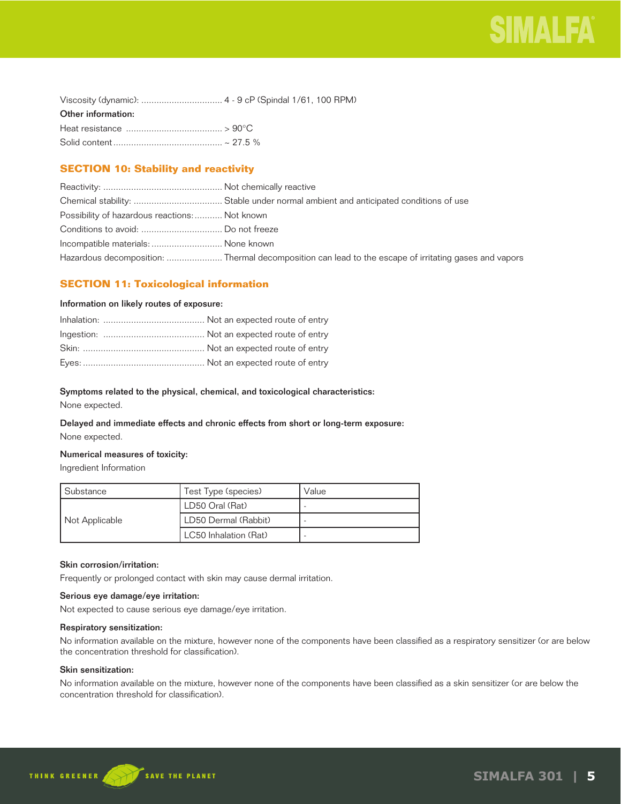| Other information: |  |
|--------------------|--|
|                    |  |
|                    |  |

## **SECTION 10: Stability and reactivity**

| Possibility of hazardous reactions:  Not known |                                                                                                       |
|------------------------------------------------|-------------------------------------------------------------------------------------------------------|
|                                                |                                                                                                       |
| Incompatible materials:  None known            |                                                                                                       |
|                                                | Hazardous decomposition:  Thermal decomposition can lead to the escape of irritating gases and vapors |

## **SECTION 11: Toxicological information**

### Information on likely routes of exposure:

## Symptoms related to the physical, chemical, and toxicological characteristics:

None expected.

## Delayed and immediate effects and chronic effects from short or long-term exposure: None expected.

## Numerical measures of toxicity:

Ingredient Information

| Substance      | Test Type (species)   | Value |
|----------------|-----------------------|-------|
|                | LD50 Oral (Rat)       |       |
| Not Applicable | LD50 Dermal (Rabbit)  |       |
|                | LC50 Inhalation (Rat) |       |

## Skin corrosion/irritation:

Frequently or prolonged contact with skin may cause dermal irritation.

## Serious eye damage/eye irritation:

Not expected to cause serious eye damage/eye irritation.

#### Respiratory sensitization:

No information available on the mixture, however none of the components have been classified as a respiratory sensitizer (or are below the concentration threshold for classification).

## Skin sensitization:

No information available on the mixture, however none of the components have been classified as a skin sensitizer (or are below the concentration threshold for classification).

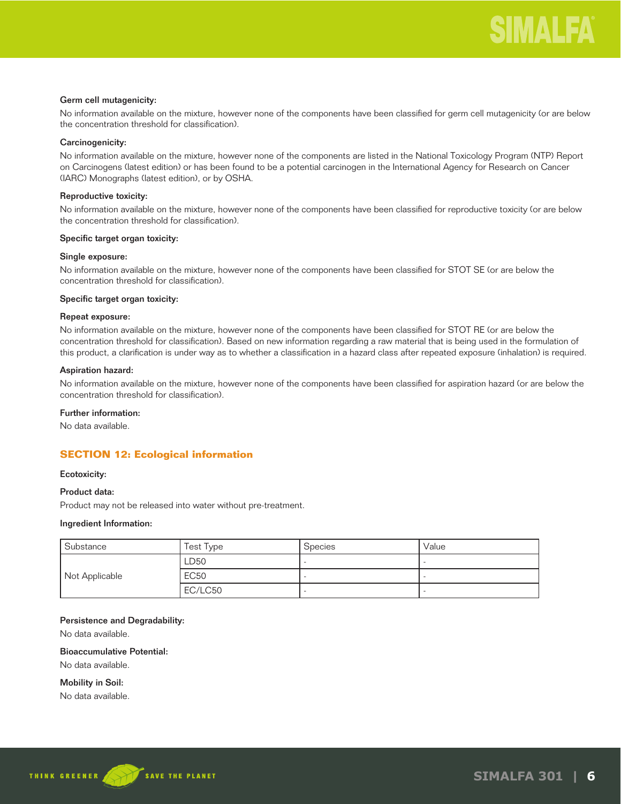### Germ cell mutagenicity:

No information available on the mixture, however none of the components have been classified for germ cell mutagenicity (or are below the concentration threshold for classification).

### Carcinogenicity:

No information available on the mixture, however none of the components are listed in the National Toxicology Program (NTP) Report on Carcinogens (latest edition) or has been found to be a potential carcinogen in the International Agency for Research on Cancer (IARC) Monographs (latest edition), or by OSHA.

### Reproductive toxicity:

No information available on the mixture, however none of the components have been classified for reproductive toxicity (or are below the concentration threshold for classification).

#### Specific target organ toxicity:

#### Single exposure:

No information available on the mixture, however none of the components have been classified for STOT SE (or are below the concentration threshold for classification).

#### Specific target organ toxicity:

## Repeat exposure:

No information available on the mixture, however none of the components have been classified for STOT RE (or are below the concentration threshold for classification). Based on new information regarding a raw material that is being used in the formulation of this product, a clarification is under way as to whether a classification in a hazard class after repeated exposure (inhalation) is required.

### Aspiration hazard:

No information available on the mixture, however none of the components have been classified for aspiration hazard (or are below the concentration threshold for classification).

## Further information:

No data available.

## **SECTION 12: Ecological information**

#### Ecotoxicity:

#### Product data:

Product may not be released into water without pre-treatment.

#### Ingredient Information:

| Substance      | Test Type   | <b>Species</b> | Value |
|----------------|-------------|----------------|-------|
|                | LD50        |                |       |
| Not Applicable | <b>EC50</b> |                |       |
|                | EC/LC50     |                |       |

### Persistence and Degradability:

No data available.

#### Bioaccumulative Potential:

No data available.

Mobility in Soil:

No data available.

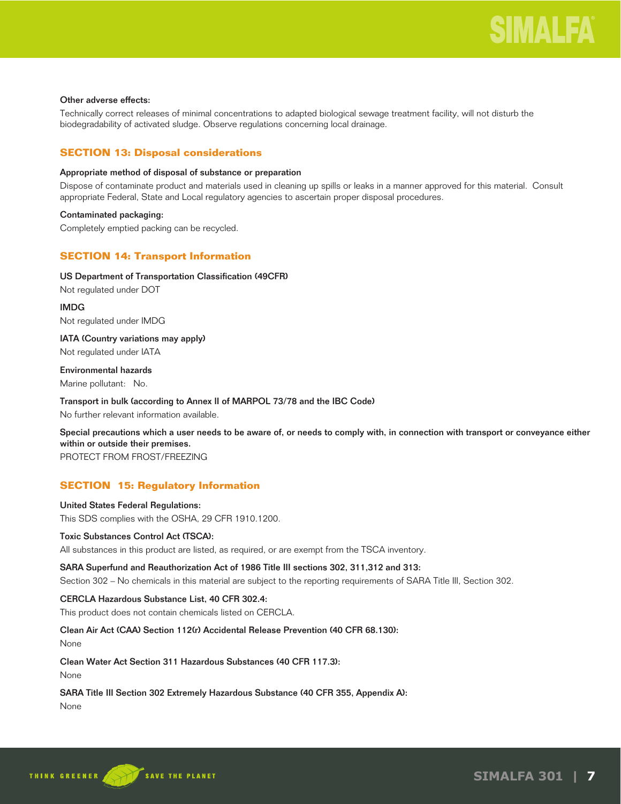## Other adverse effects:

Technically correct releases of minimal concentrations to adapted biological sewage treatment facility, will not disturb the biodegradability of activated sludge. Observe regulations concerning local drainage.

## **SECTION 13: Disposal considerations**

## Appropriate method of disposal of substance or preparation

Dispose of contaminate product and materials used in cleaning up spills or leaks in a manner approved for this material. Consult appropriate Federal, State and Local regulatory agencies to ascertain proper disposal procedures.

## Contaminated packaging:

Completely emptied packing can be recycled.

## **SECTION 14: Transport Information**

## US Department of Transportation Classification (49CFR)

Not regulated under DOT

IMDG Not regulated under IMDG

IATA (Country variations may apply) Not regulated under IATA

## Environmental hazards

Marine pollutant: No.

## Transport in bulk (according to Annex II of MARPOL 73/78 and the IBC Code)

No further relevant information available.

Special precautions which a user needs to be aware of, or needs to comply with, in connection with transport or conveyance either within or outside their premises.

PROTECT FROM FROST/FREEZING

## **SECTION 15: Regulatory Information**

## United States Federal Regulations:

This SDS complies with the OSHA, 29 CFR 1910.1200.

## Toxic Substances Control Act (TSCA):

All substances in this product are listed, as required, or are exempt from the TSCA inventory.

## SARA Superfund and Reauthorization Act of 1986 Title III sections 302, 311,312 and 313:

Section 302 – No chemicals in this material are subject to the reporting requirements of SARA Title III, Section 302.

## CERCLA Hazardous Substance List, 40 CFR 302.4:

This product does not contain chemicals listed on CERCLA.

## Clean Air Act (CAA) Section 112(r) Accidental Release Prevention (40 CFR 68.130):

None

## Clean Water Act Section 311 Hazardous Substances (40 CFR 117.3):

None

## SARA Title III Section 302 Extremely Hazardous Substance (40 CFR 355, Appendix A):

None

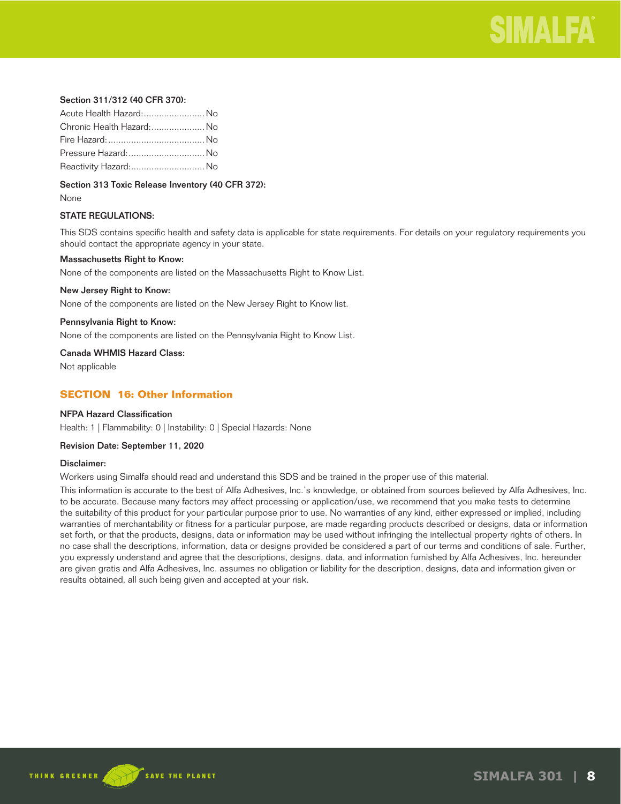

## Section 311/312 (40 CFR 370):

| Acute Health Hazard: No   |  |
|---------------------------|--|
| Chronic Health Hazard: No |  |
|                           |  |
| Pressure Hazard:  No      |  |
| Reactivity Hazard: No     |  |

Section 313 Toxic Release Inventory (40 CFR 372):

None

#### STATE REGULATIONS:

This SDS contains specific health and safety data is applicable for state requirements. For details on your regulatory requirements you should contact the appropriate agency in your state.

#### Massachusetts Right to Know:

None of the components are listed on the Massachusetts Right to Know List.

#### New Jersey Right to Know:

None of the components are listed on the New Jersey Right to Know list.

#### Pennsylvania Right to Know:

None of the components are listed on the Pennsylvania Right to Know List.

Canada WHMIS Hazard Class:

Not applicable

## **SECTION 16: Other Information**

## NFPA Hazard Classification

Health: 1 | Flammability: 0 | Instability: 0 | Special Hazards: None

#### Revision Date: September 11, 2020

#### Disclaimer:

Workers using Simalfa should read and understand this SDS and be trained in the proper use of this material.

This information is accurate to the best of Alfa Adhesives, Inc.'s knowledge, or obtained from sources believed by Alfa Adhesives, Inc. to be accurate. Because many factors may affect processing or application/use, we recommend that you make tests to determine the suitability of this product for your particular purpose prior to use. No warranties of any kind, either expressed or implied, including warranties of merchantability or fitness for a particular purpose, are made regarding products described or designs, data or information set forth, or that the products, designs, data or information may be used without infringing the intellectual property rights of others. In no case shall the descriptions, information, data or designs provided be considered a part of our terms and conditions of sale. Further, you expressly understand and agree that the descriptions, designs, data, and information furnished by Alfa Adhesives, Inc. hereunder are given gratis and Alfa Adhesives, Inc. assumes no obligation or liability for the description, designs, data and information given or results obtained, all such being given and accepted at your risk.

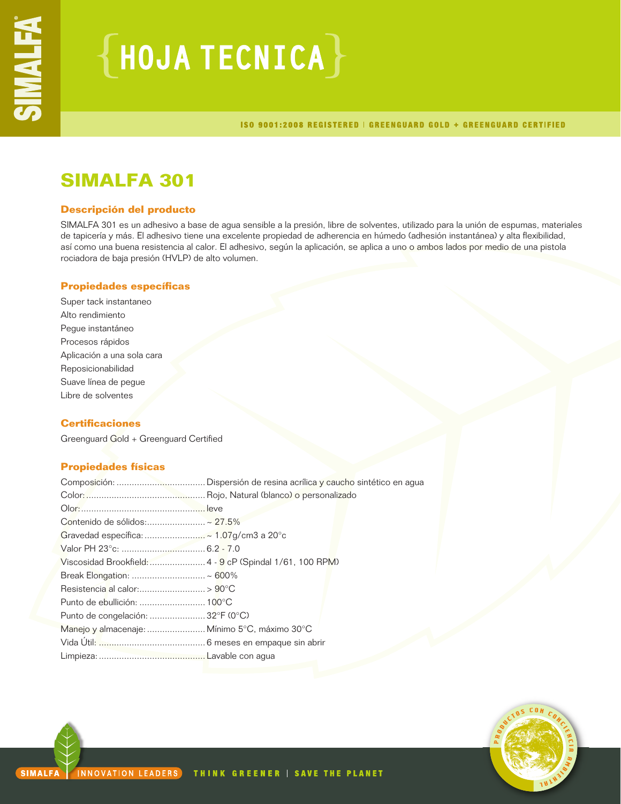# $\{$  HOJA TECNICA $\}$

ISO 9001:2008 REGISTERED | GREENGUARD GOLD + GREENGUARD CERTIFIED

## **SIMALFA 301**

## **Descripción del producto**

SIMALFA 301 es un adhesivo a base de agua sensible a la presión, libre de solventes, utilizado para la unión de espumas, materiales de tapicería y más. El adhesivo tiene una excelente propiedad de adherencia en húmedo (adhesión instantánea) y alta flexibilidad, así como una buena resistencia al calor. El adhesivo, según la aplicación, se aplica a uno o ambos lados por medio de una pistola rociadora de baja presión (HVLP) de alto volumen.

## **Propiedades específicas**

Super tack instantaneo Alto rendimiento Pegue instantáneo Procesos rápidos Aplicación a una sola cara Reposicionabilidad Suave línea de pegue Libre de solventes

## **Certificaciones**

Greenguard Gold + Greenguard Certified

## **Propiedades físicas**

| Contenido de sólidos:~ 27.5%                             |  |
|----------------------------------------------------------|--|
|                                                          |  |
|                                                          |  |
| Viscosidad Brookfield:  4 - 9 cP (Spindal 1/61, 100 RPM) |  |
| Break Elongation:  ~ 600%                                |  |
|                                                          |  |
|                                                          |  |
| Punto de congelación:  32°F (0°C)                        |  |
| Manejo y almacenaje:  Mínimo 5°C, máximo 30°C            |  |
|                                                          |  |
|                                                          |  |

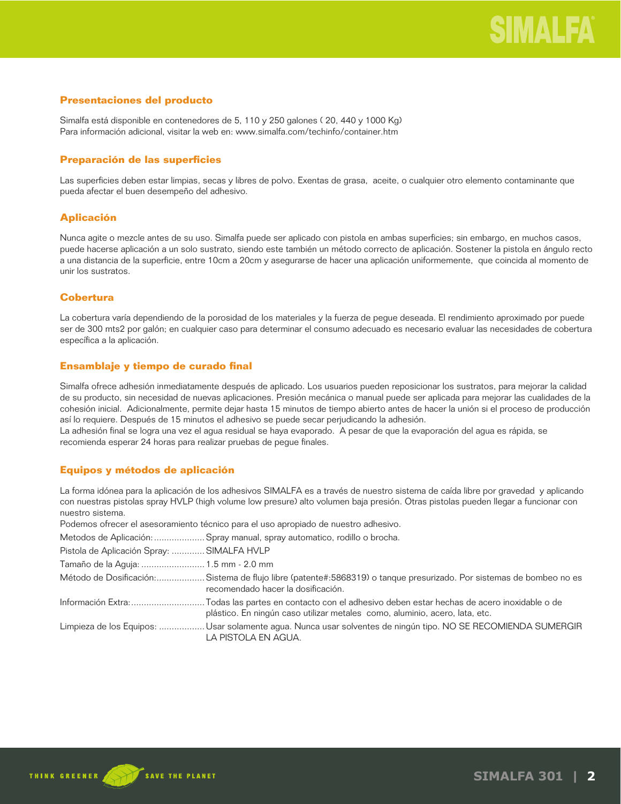## **Presentaciones del producto**

Simalfa está disponible en contenedores de 5, 110 y 250 galones ( 20, 440 y 1000 Kg) Para información adicional, visitar la web en: www.simalfa.com/techinfo/container.htm

## **Preparación de las superficies**

Las superficies deben estar limpias, secas y libres de polvo. Exentas de grasa, aceite, o cualquier otro elemento contaminante que pueda afectar el buen desempeño del adhesivo.

## **Aplicación**

Nunca agite o mezcle antes de su uso. Simalfa puede ser aplicado con pistola en ambas superficies; sin embargo, en muchos casos, puede hacerse aplicación a un solo sustrato, siendo este también un método correcto de aplicación. Sostener la pistola en ángulo recto a una distancia de la superficie, entre 10cm a 20cm y asegurarse de hacer una aplicación uniformemente, que coincida al momento de unir los sustratos.

## **Cobertura**

La cobertura varía dependiendo de la porosidad de los materiales y la fuerza de pegue deseada. El rendimiento aproximado por puede ser de 300 mts2 por galón; en cualquier caso para determinar el consumo adecuado es necesario evaluar las necesidades de cobertura específica a la aplicación.

## **Ensamblaje y tiempo de curado final**

Simalfa ofrece adhesión inmediatamente después de aplicado. Los usuarios pueden reposicionar los sustratos, para mejorar la calidad de su producto, sin necesidad de nuevas aplicaciones. Presión mecánica o manual puede ser aplicada para mejorar las cualidades de la cohesión inicial. Adicionalmente, permite dejar hasta 15 minutos de tiempo abierto antes de hacer la unión si el proceso de producción así lo requiere. Después de 15 minutos el adhesivo se puede secar perjudicando la adhesión.

La adhesión final se logra una vez el agua residual se haya evaporado. A pesar de que la evaporación del agua es rápida, se recomienda esperar 24 horas para realizar pruebas de pegue finales.

## **Equipos y métodos de aplicación**

La forma idónea para la aplicación de los adhesivos SIMALFA es a través de nuestro sistema de caída libre por gravedad y aplicando con nuestras pistolas spray HVLP (high volume low presure) alto volumen baja presión. Otras pistolas pueden llegar a funcionar con nuestro sistema.

Podemos ofrecer el asesoramiento técnico para el uso apropiado de nuestro adhesivo.

Metodos de Aplicación: ....................Spray manual, spray automatico, rodillo o brocha.

| Pistola de Aplicación Spray:  SIMALFA HVLP |                                                                                                                                                           |
|--------------------------------------------|-----------------------------------------------------------------------------------------------------------------------------------------------------------|
| Tamaño de la Aguja:  1.5 mm - 2.0 mm       |                                                                                                                                                           |
|                                            | Método de Dosificación:Sistema de flujo libre (patente#:5868319) o tanque presurizado. Por sistemas de bombeo no es<br>recomendado hacer la dosificación. |
|                                            | plástico. En ningún caso utilizar metales como, aluminio, acero, lata, etc.                                                                               |
|                                            | Limpieza de los Equipos:  Usar solamente agua. Nunca usar solventes de ningún tipo. NO SE RECOMIENDA SUMERGIR<br>LA PISTOLA EN AGUA.                      |

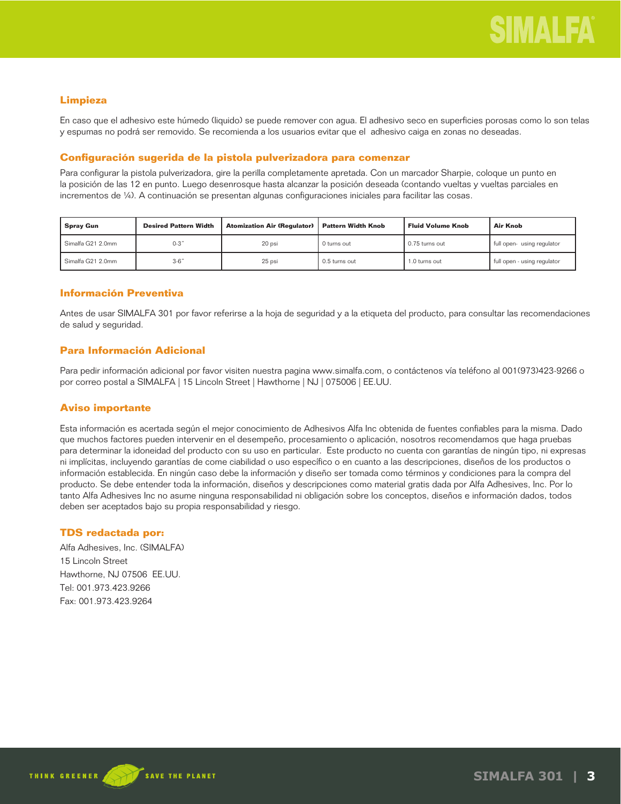## **Limpieza**

En caso que el adhesivo este húmedo (liquido) se puede remover con agua. El adhesivo seco en superficies porosas como lo son telas y espumas no podrá ser removido. Se recomienda a los usuarios evitar que el adhesivo caiga en zonas no deseadas.

## **Configuración sugerida de la pistola pulverizadora para comenzar**

Para configurar la pistola pulverizadora, gire la perilla completamente apretada. Con un marcador Sharpie, coloque un punto en la posición de las 12 en punto. Luego desenrosque hasta alcanzar la posición deseada (contando vueltas y vueltas parciales en incrementos de ¼). A continuación se presentan algunas configuraciones iniciales para facilitar las cosas.

| <b>Spray Gun</b>  | <b>Desired Pattern Width</b> | <b>Atomization Air (Regulator)</b> | <b>Pattern Width Knob</b> | <b>Fluid Volume Knob</b> | Air Knob                    |
|-------------------|------------------------------|------------------------------------|---------------------------|--------------------------|-----------------------------|
| Simalfa G21 2.0mm | $0-3"$                       | 20 psi                             | 0 turns out               | 0.75 turns out           | full open-using regulator   |
| Simalfa G21 2.0mm | $3-6"$                       | 25 psi                             | 0.5 turns out             | 1.0 turns out            | full open - using regulator |

## **Información Preventiva**

Antes de usar SIMALFA 301 por favor referirse a la hoja de seguridad y a la etiqueta del producto, para consultar las recomendaciones de salud y seguridad.

## **Para Información Adicional**

Para pedir información adicional por favor visiten nuestra pagina www.simalfa.com, o contáctenos vía teléfono al 001(973)423-9266 o por correo postal a SIMALFA | 15 Lincoln Street | Hawthorne | NJ | 075006 | EE.UU.

## **Aviso importante**

Esta información es acertada según el mejor conocimiento de Adhesivos Alfa Inc obtenida de fuentes confiables para la misma. Dado que muchos factores pueden intervenir en el desempeño, procesamiento o aplicación, nosotros recomendamos que haga pruebas para determinar la idoneidad del producto con su uso en particular. Este producto no cuenta con garantías de ningún tipo, ni expresas ni implícitas, incluyendo garantías de come ciabilidad o uso específico o en cuanto a las descripciones, diseños de los productos o información establecida. En ningún caso debe la información y diseño ser tomada como términos y condiciones para la compra del producto. Se debe entender toda la información, diseños y descripciones como material gratis dada por Alfa Adhesives, Inc. Por lo tanto Alfa Adhesives Inc no asume ninguna responsabilidad ni obligación sobre los conceptos, diseños e información dados, todos deben ser aceptados bajo su propia responsabilidad y riesgo.

## **TDS redactada por:**

Alfa Adhesives, Inc. (SIMALFA) 15 Lincoln Street Hawthorne, NJ 07506 EE.UU. Tel: 001.973.423.9266 Fax: 001.973.423.9264

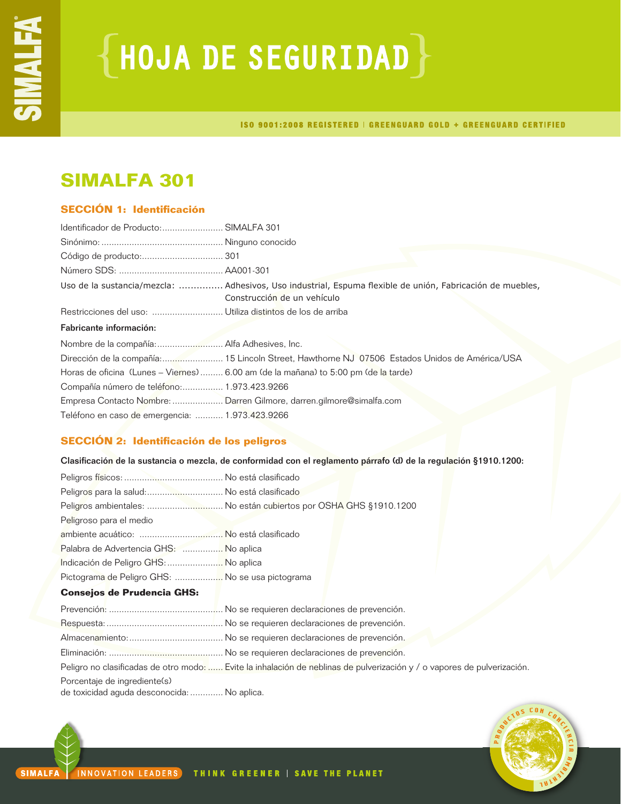# ${HoudA DE SEGURIDAD}$

ISO 9001:2008 REGISTERED | GREENGUARD GOLD + GREENGUARD CERTIFIED

## **SIMALFA 301**

## **SECCIÓN 1: Identificación**

| Identificador de Producto: SIMALFA 301          |                                                                                                                                          |
|-------------------------------------------------|------------------------------------------------------------------------------------------------------------------------------------------|
|                                                 |                                                                                                                                          |
|                                                 |                                                                                                                                          |
|                                                 |                                                                                                                                          |
|                                                 | Uso de la sustancia/mezcla:  Adhesivos, Uso industrial, Espuma flexible de unión, Fabricación de muebles,<br>Construcción de un vehículo |
|                                                 |                                                                                                                                          |
| Fabricante información:                         |                                                                                                                                          |
|                                                 |                                                                                                                                          |
|                                                 | Dirección de la compañía: 15 Lincoln Street, Hawthorne NJ 07506 Estados Unidos de América/USA                                            |
|                                                 | Horas de oficina (Lunes – Viernes)  6.00 am (de la mañana) to 5:00 pm (de la tarde)                                                      |
| Compañía número de teléfono: 1.973.423.9266     |                                                                                                                                          |
|                                                 | Empresa Contacto Nombre:  Darren Gilmore, darren.gilmore@simalfa.com                                                                     |
| Teléfono en caso de emergencia:  1.973.423.9266 |                                                                                                                                          |

## **SECCIÓN 2: Identificación de los peligros**

Clasificación de la sustancia o mezcla, de conformidad con el reglamento párrafo (d) de la regulación §1910.1200:

| Peligros para la salud: No está clasificado      |                                                                                                                         |
|--------------------------------------------------|-------------------------------------------------------------------------------------------------------------------------|
|                                                  | Peligros ambientales:  No están cubiertos por OSHA GHS §1910.1200                                                       |
| Peligroso para el medio                          |                                                                                                                         |
|                                                  |                                                                                                                         |
| Palabra de Advertencia GHS:  No aplica           |                                                                                                                         |
| Indicación de Peligro GHS:  No aplica            |                                                                                                                         |
| Pictograma de Peligro GHS:  No se usa pictograma |                                                                                                                         |
| <b>Consejos de Prudencia GHS:</b>                |                                                                                                                         |
|                                                  |                                                                                                                         |
|                                                  |                                                                                                                         |
|                                                  |                                                                                                                         |
|                                                  |                                                                                                                         |
|                                                  | Peligro no clasificadas de otro modo:  Evite la inhalación de neblinas de pulverización y / o vapores de pulverización. |
| Porcentaje de ingrediente(s)                     |                                                                                                                         |
| de toxicidad aguda desconocida:  No aplica.      |                                                                                                                         |
|                                                  |                                                                                                                         |

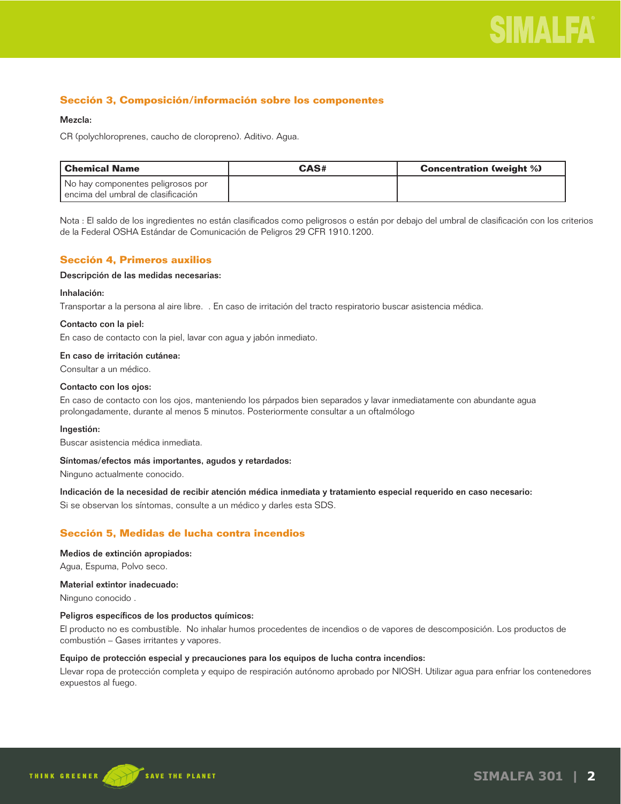

## **Sección 3, Composición/información sobre los componentes**

#### Mezcla:

CR (polychloroprenes, caucho de cloropreno). Aditivo. Agua.

| l Chemical Name                        | CAS# | <b>Concentration (weight %)</b> |
|----------------------------------------|------|---------------------------------|
| No hay componentes peligrosos por      |      |                                 |
| l encima del umbral de clasificación l |      |                                 |

Nota : El saldo de los ingredientes no están clasificados como peligrosos o están por debajo del umbral de clasificación con los criterios de la Federal OSHA Estándar de Comunicación de Peligros 29 CFR 1910.1200.

## **Sección 4, Primeros auxilios**

#### Descripción de las medidas necesarias:

#### Inhalación:

Transportar a la persona al aire libre. . En caso de irritación del tracto respiratorio buscar asistencia médica.

#### Contacto con la piel:

En caso de contacto con la piel, lavar con agua y jabón inmediato.

#### En caso de irritación cutánea:

Consultar a un médico.

#### Contacto con los ojos:

En caso de contacto con los ojos, manteniendo los párpados bien separados y lavar inmediatamente con abundante agua prolongadamente, durante al menos 5 minutos. Posteriormente consultar a un oftalmólogo

#### Ingestión:

Buscar asistencia médica inmediata.

#### Síntomas/efectos más importantes, agudos y retardados:

Ninguno actualmente conocido.

Indicación de la necesidad de recibir atención médica inmediata y tratamiento especial requerido en caso necesario:

Si se observan los síntomas, consulte a un médico y darles esta SDS.

## **Sección 5, Medidas de lucha contra incendios**

#### Medios de extinción apropiados:

Agua, Espuma, Polvo seco.

### Material extintor inadecuado:

Ninguno conocido .

#### Peligros específicos de los productos químicos:

El producto no es combustible. No inhalar humos procedentes de incendios o de vapores de descomposición. Los productos de combustión – Gases irritantes y vapores.

#### Equipo de protección especial y precauciones para los equipos de lucha contra incendios:

Llevar ropa de protección completa y equipo de respiración autónomo aprobado por NIOSH. Utilizar agua para enfriar los contenedores expuestos al fuego.

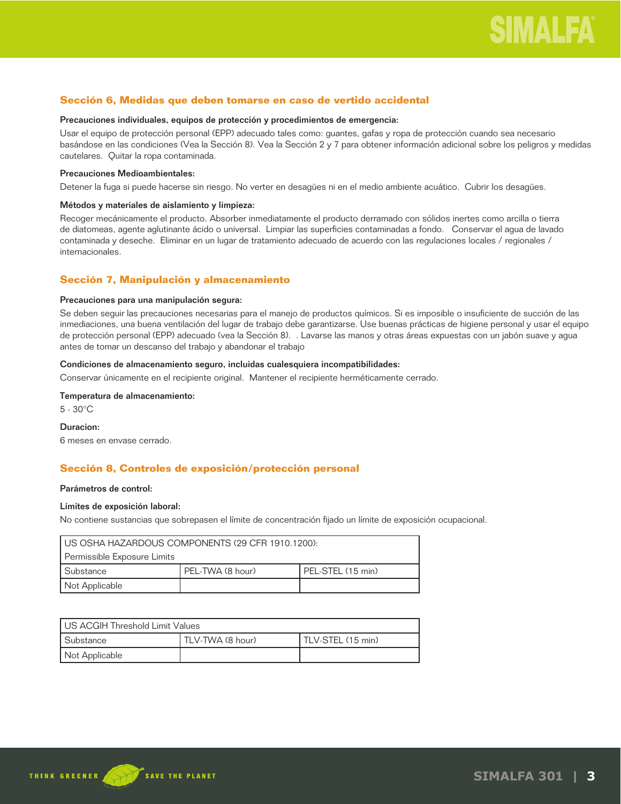## **Sección 6, Medidas que deben tomarse en caso de vertido accidental**

#### Precauciones individuales, equipos de protección y procedimientos de emergencia:

Usar el equipo de protección personal (EPP) adecuado tales como: guantes, gafas y ropa de protección cuando sea necesario basándose en las condiciones (Vea la Sección 8). Vea la Sección 2 y 7 para obtener información adicional sobre los peligros y medidas cautelares. Quitar la ropa contaminada.

#### Precauciones Medioambientales:

Detener la fuga si puede hacerse sin riesgo. No verter en desagües ni en el medio ambiente acuático. Cubrir los desagües.

#### Métodos y materiales de aislamiento y limpieza:

Recoger mecánicamente el producto. Absorber inmediatamente el producto derramado con sólidos inertes como arcilla o tierra de diatomeas, agente aglutinante ácido o universal. Limpiar las superficies contaminadas a fondo. Conservar el agua de lavado contaminada y deseche. Eliminar en un lugar de tratamiento adecuado de acuerdo con las regulaciones locales / regionales / internacionales.

## **Sección 7, Manipulación y almacenamiento**

### Precauciones para una manipulación segura:

Se deben seguir las precauciones necesarias para el manejo de productos químicos. Si es imposible o insuficiente de succión de las inmediaciones, una buena ventilación del lugar de trabajo debe garantizarse. Use buenas prácticas de higiene personal y usar el equipo de protección personal (EPP) adecuado (vea la Sección 8). . Lavarse las manos y otras áreas expuestas con un jabón suave y agua antes de tomar un descanso del trabajo y abandonar el trabajo

### Condiciones de almacenamiento seguro, incluidas cualesquiera incompatibilidades:

Conservar únicamente en el recipiente original. Mantener el recipiente herméticamente cerrado.

## Temperatura de almacenamiento:

5 - 30°C

#### Duracion:

6 meses en envase cerrado.

## **Sección 8, Controles de exposición/protección personal**

#### Parámetros de control:

#### Límites de exposición laboral:

No contiene sustancias que sobrepasen el límite de concentración fijado un límite de exposición ocupacional.

| I US OSHA HAZARDOUS COMPONENTS (29 CFR 1910.1200):   |  |  |
|------------------------------------------------------|--|--|
| Permissible Exposure Limits                          |  |  |
| PEL-STEL (15 min)<br>l Substance<br>PEL-TWA (8 hour) |  |  |
| Not Applicable                                       |  |  |

| US ACGIH Threshold Limit Values |                  |                   |
|---------------------------------|------------------|-------------------|
| l Substance                     | TLV-TWA (8 hour) | TLV-STEL (15 min) |
| Not Applicable                  |                  |                   |

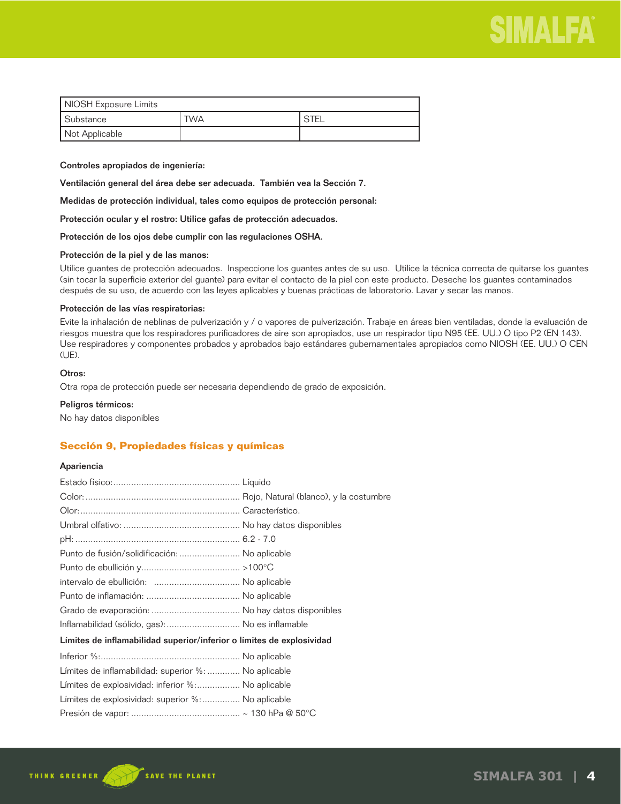

| NIOSH Exposure Limits |     |        |  |
|-----------------------|-----|--------|--|
| Substance             | TWA | ' STEL |  |
| Not Applicable        |     |        |  |

#### Controles apropiados de ingeniería:

Ventilación general del área debe ser adecuada. También vea la Sección 7.

Medidas de protección individual, tales como equipos de protección personal:

Protección ocular y el rostro: Utilice gafas de protección adecuados.

Protección de los ojos debe cumplir con las regulaciones OSHA.

#### Protección de la piel y de las manos:

Utilice guantes de protección adecuados. Inspeccione los guantes antes de su uso. Utilice la técnica correcta de quitarse los guantes (sin tocar la superficie exterior del guante) para evitar el contacto de la piel con este producto. Deseche los guantes contaminados después de su uso, de acuerdo con las leyes aplicables y buenas prácticas de laboratorio. Lavar y secar las manos.

### Protección de las vías respiratorias:

Evite la inhalación de neblinas de pulverización y / o vapores de pulverización. Trabaje en áreas bien ventiladas, donde la evaluación de riesgos muestra que los respiradores purificadores de aire son apropiados, use un respirador tipo N95 (EE. UU.) O tipo P2 (EN 143). Use respiradores y componentes probados y aprobados bajo estándares gubernamentales apropiados como NIOSH (EE. UU.) O CEN (UE).

## Otros:

Otra ropa de protección puede ser necesaria dependiendo de grado de exposición.

#### Peligros térmicos:

No hay datos disponibles

## **Sección 9, Propiedades físicas y químicas**

#### Apariencia

| Punto de fusión/solidificación:  No aplicable                         |  |
|-----------------------------------------------------------------------|--|
|                                                                       |  |
|                                                                       |  |
|                                                                       |  |
|                                                                       |  |
| Inflamabilidad (sólido, gas):  No es inflamable                       |  |
| Límites de inflamabilidad superior/inferior o límites de explosividad |  |
|                                                                       |  |
| Límites de inflamabilidad: superior %:  No aplicable                  |  |
| Límites de explosividad: inferior %: No aplicable                     |  |
| Límites de explosividad: superior %: No aplicable                     |  |
|                                                                       |  |

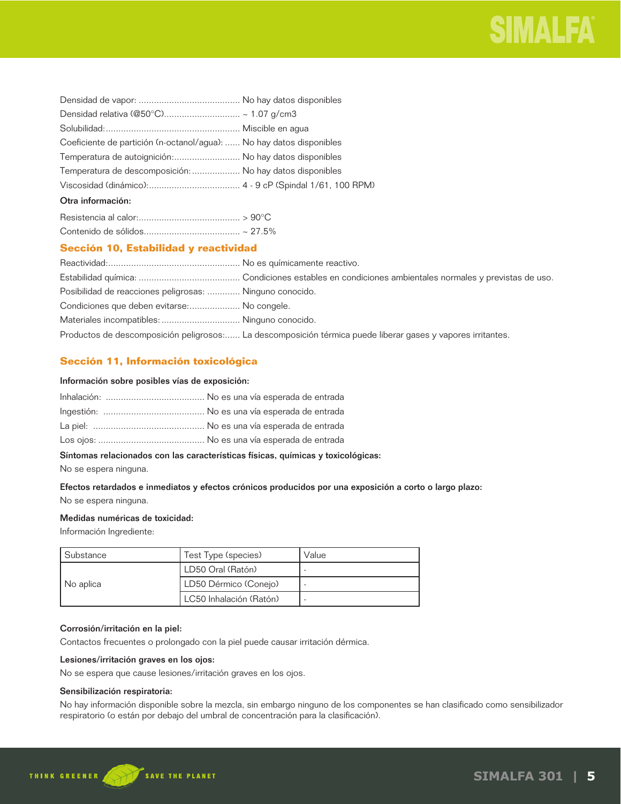

| Coeficiente de partición (n-octanol/agua):  No hay datos disponibles |  |
|----------------------------------------------------------------------|--|
| Temperatura de autoignición: No hay datos disponibles                |  |
| Temperatura de descomposición:  No hay datos disponibles             |  |
|                                                                      |  |
| Otra información:                                                    |  |

## **Sección 10, Estabilidad y reactividad**

| Posibilidad de reacciones peligrosas:  Ninguno conocido. |                                                                                                             |
|----------------------------------------------------------|-------------------------------------------------------------------------------------------------------------|
| Condiciones que deben evitarse: No congele.              |                                                                                                             |
|                                                          |                                                                                                             |
|                                                          | Productos de descomposición peligrosos: La descomposición térmica puede liberar gases y vapores irritantes. |

## **Sección 11, Información toxicológica**

### Información sobre posibles vías de exposición:

## Síntomas relacionados con las características físicas, químicas y toxicológicas:

No se espera ninguna.

## Efectos retardados e inmediatos y efectos crónicos producidos por una exposición a corto o largo plazo: No se espera ninguna.

### Medidas numéricas de toxicidad:

Información Ingrediente:

| l Substance | Test Type (species)     | Value |
|-------------|-------------------------|-------|
| No aplica   | LD50 Oral (Ratón)       |       |
|             | LD50 Dérmico (Conejo)   |       |
|             | LC50 Inhalación (Ratón) |       |

## Corrosión/irritación en la piel:

Contactos frecuentes o prolongado con la piel puede causar irritación dérmica.

## Lesiones/irritación graves en los ojos:

No se espera que cause lesiones/irritación graves en los ojos.

## Sensibilización respiratoria:

No hay información disponible sobre la mezcla, sin embargo ninguno de los componentes se han clasificado como sensibilizador respiratorio (o están por debajo del umbral de concentración para la clasificación).

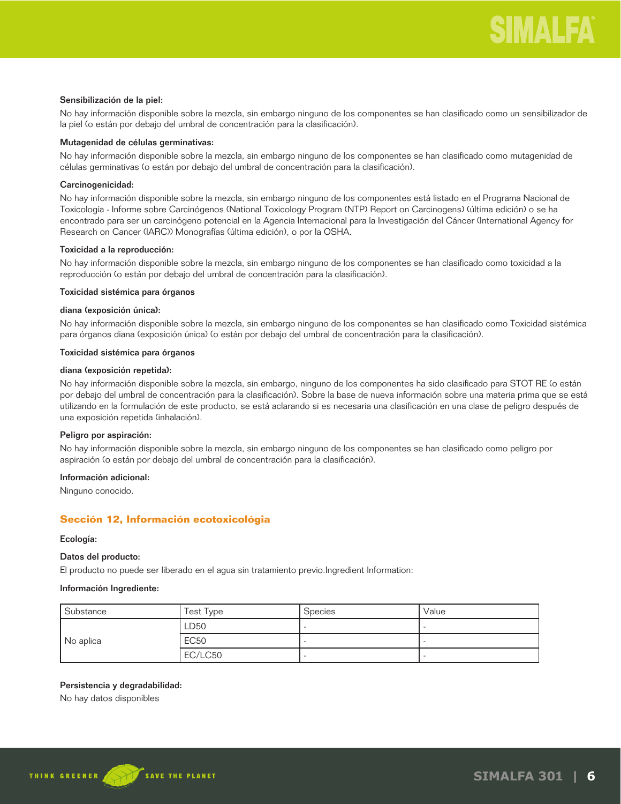#### Sensibilización de la piel:

No hay información disponible sobre la mezcla, sin embargo ninguno de los componentes se han clasificado como un sensibilizador de la piel (o están por debajo del umbral de concentración para la clasificación).

## Mutagenidad de células germinativas:

No hay información disponible sobre la mezcla, sin embargo ninguno de los componentes se han clasificado como mutagenidad de células germinativas (o están por debajo del umbral de concentración para la clasificación).

## Carcinogenicidad:

No hay información disponible sobre la mezcla, sin embargo ninguno de los componentes está listado en el Programa Nacional de Toxicología - Informe sobre Carcinógenos (National Toxicology Program (NTP) Report on Carcinogens) (última edición) o se ha encontrado para ser un carcinógeno potencial en la Agencia Internacional para la Investigación del Cáncer (International Agency for Research on Cancer (IARC)) Monografías (última edición), o por la OSHA.

## Toxicidad a la reproducción:

No hay información disponible sobre la mezcla, sin embargo ninguno de los componentes se han clasificado como toxicidad a la reproducción (o están por debajo del umbral de concentración para la clasificación).

### Toxicidad sistémica para órganos

### diana (exposición única):

No hay información disponible sobre la mezcla, sin embargo ninguno de los componentes se han clasificado como Toxicidad sistémica para órganos diana (exposición única) (o están por debajo del umbral de concentración para la clasificación).

#### Toxicidad sistémica para órganos

#### diana (exposición repetida):

No hay información disponible sobre la mezcla, sin embargo, ninguno de los componentes ha sido clasificado para STOT RE (o están por debajo del umbral de concentración para la clasificación). Sobre la base de nueva información sobre una materia prima que se está utilizando en la formulación de este producto, se está aclarando si es necesaria una clasificación en una clase de peligro después de una exposición repetida (inhalación).

#### Peligro por aspiración:

No hay información disponible sobre la mezcla, sin embargo ninguno de los componentes se han clasificado como peligro por aspiración (o están por debajo del umbral de concentración para la clasificación).

## Información adicional:

Ninguno conocido.

## **Sección 12, Información ecotoxicológia**

#### Ecología:

## Datos del producto:

El producto no puede ser liberado en el agua sin tratamiento previo.Ingredient Information:

#### Información Ingrediente:

| Substance | Test Type   | <b>Species</b> | Value |
|-----------|-------------|----------------|-------|
| No aplica | LD50        |                |       |
|           | <b>EC50</b> |                |       |
|           | EC/LC50     |                |       |

## Persistencia y degradabilidad:

No hay datos disponibles

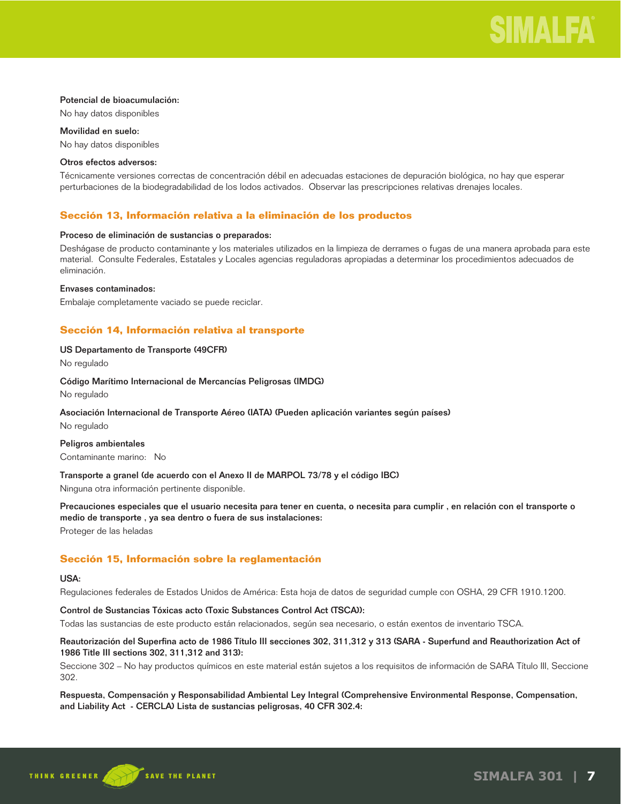#### Potencial de bioacumulación:

No hay datos disponibles

Movilidad en suelo:

No hay datos disponibles

#### Otros efectos adversos:

Técnicamente versiones correctas de concentración débil en adecuadas estaciones de depuración biológica, no hay que esperar perturbaciones de la biodegradabilidad de los lodos activados. Observar las prescripciones relativas drenajes locales.

## **Sección 13, Información relativa a la eliminación de los productos**

### Proceso de eliminación de sustancias o preparados:

Deshágase de producto contaminante y los materiales utilizados en la limpieza de derrames o fugas de una manera aprobada para este material. Consulte Federales, Estatales y Locales agencias reguladoras apropiadas a determinar los procedimientos adecuados de eliminación.

#### Envases contaminados:

Embalaje completamente vaciado se puede reciclar.

## **Sección 14, Información relativa al transporte**

## US Departamento de Transporte (49CFR)

No regulado

#### Código Marítimo Internacional de Mercancías Peligrosas (IMDG)

No regulado

## Asociación Internacional de Transporte Aéreo (IATA) (Pueden aplicación variantes según países) No regulado

Peligros ambientales

Contaminante marino: No

## Transporte a granel (de acuerdo con el Anexo II de MARPOL 73/78 y el código IBC)

Ninguna otra información pertinente disponible.

Precauciones especiales que el usuario necesita para tener en cuenta, o necesita para cumplir , en relación con el transporte o medio de transporte , ya sea dentro o fuera de sus instalaciones: Proteger de las heladas

## **Sección 15, Información sobre la reglamentación**

#### USA:

Regulaciones federales de Estados Unidos de América: Esta hoja de datos de seguridad cumple con OSHA, 29 CFR 1910.1200.

## Control de Sustancias Tóxicas acto (Toxic Substances Control Act (TSCA)):

Todas las sustancias de este producto están relacionados, según sea necesario, o están exentos de inventario TSCA.

## Reautorización del Superfina acto de 1986 Título III secciones 302, 311,312 y 313 (SARA - Superfund and Reauthorization Act of 1986 Title III sections 302, 311,312 and 313):

Seccione 302 – No hay productos químicos en este material están sujetos a los requisitos de información de SARA Título III, Seccione 302.

Respuesta, Compensación y Responsabilidad Ambiental Ley Integral (Comprehensive Environmental Response, Compensation, and Liability Act - CERCLA) Lista de sustancias peligrosas, 40 CFR 302.4: